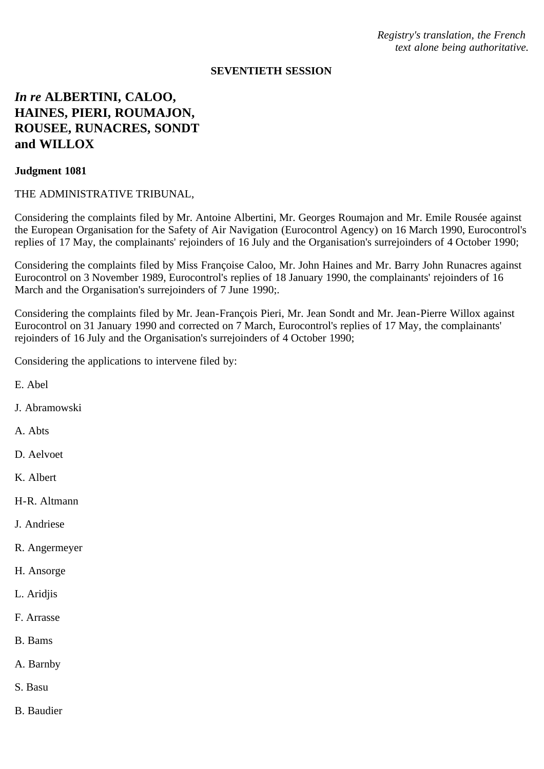*Registry's translation, the French text alone being authoritative.*

#### **SEVENTIETH SESSION**

# *In re* **ALBERTINI, CALOO, HAINES, PIERI, ROUMAJON, ROUSEE, RUNACRES, SONDT and WILLOX**

#### **Judgment 1081**

## THE ADMINISTRATIVE TRIBUNAL,

Considering the complaints filed by Mr. Antoine Albertini, Mr. Georges Roumajon and Mr. Emile Rousée against the European Organisation for the Safety of Air Navigation (Eurocontrol Agency) on 16 March 1990, Eurocontrol's replies of 17 May, the complainants' rejoinders of 16 July and the Organisation's surrejoinders of 4 October 1990;

Considering the complaints filed by Miss Françoise Caloo, Mr. John Haines and Mr. Barry John Runacres against Eurocontrol on 3 November 1989, Eurocontrol's replies of 18 January 1990, the complainants' rejoinders of 16 March and the Organisation's surrejoinders of 7 June 1990;.

Considering the complaints filed by Mr. Jean-François Pieri, Mr. Jean Sondt and Mr. Jean-Pierre Willox against Eurocontrol on 31 January 1990 and corrected on 7 March, Eurocontrol's replies of 17 May, the complainants' rejoinders of 16 July and the Organisation's surrejoinders of 4 October 1990;

Considering the applications to intervene filed by:

- E. Abel
- J. Abramowski
- A. Abts
- D. Aelvoet
- K. Albert
- H-R. Altmann
- J. Andriese
- R. Angermeyer
- H. Ansorge
- L. Aridjis
- F. Arrasse
- B. Bams
- A. Barnby
- S. Basu
- B. Baudier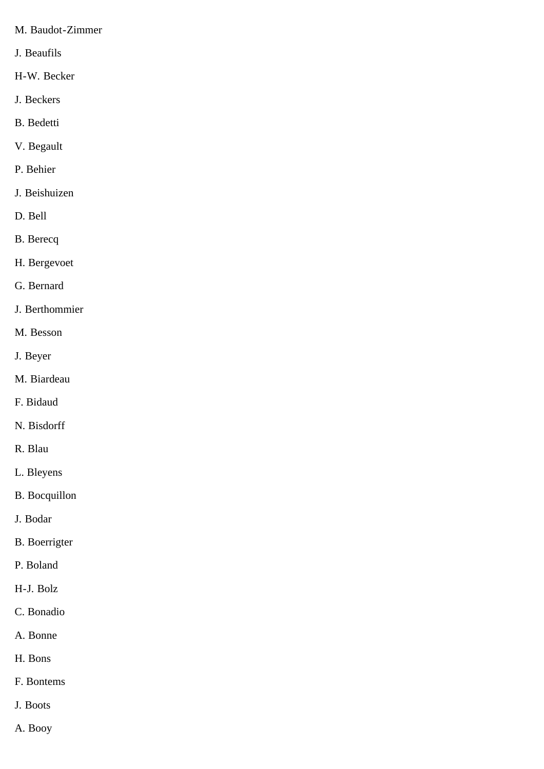- M. Baudot-Zimmer
- J. Beaufils
- H-W. Becker
- J. Beckers
- B. Bedetti
- V. Begault
- P. Behier
- J. Beishuizen
- D. Bell
- B. Berecq
- H. Bergevoet
- G. Bernard
- J. Berthommier
- M. Besson
- J. Beyer
- M. Biardeau
- F. Bidaud
- N. Bisdorff
- R. Blau
- L. Bleyens
- B. Bocquillon
- J. Bodar
- B. Boerrigter
- P. Boland
- H-J. Bolz
- C. Bonadio
- A. Bonne
- H. Bons
- F. Bontems
- J. Boots
- A. Booy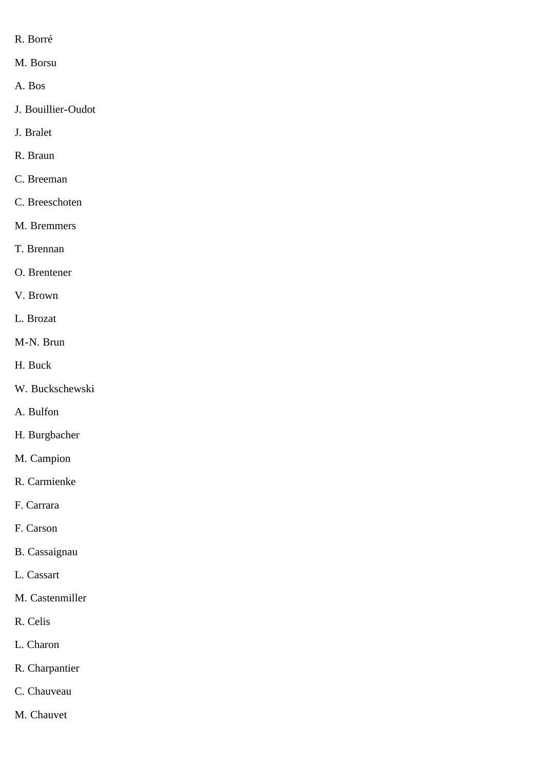- R. Borré
- M. Borsu
- A. Bos
- J. Bouillier-Oudot
- J. Bralet
- R. Braun
- C. Breeman
- C. Breeschoten
- M. Bremmers
- T. Brennan
- O. Brentener
- V. Brown
- L. Brozat
- M-N. Brun
- H. Buck
- W. Buckschewski
- A. Bulfon
- H. Burgbacher
- M. Campion
- R. Carmienke
- F. Carrara
- F. Carson
- B. Cassaignau
- L. Cassart
- M. Castenmiller
- R. Celis
- L. Charon
- R. Charpantier
- C. Chauveau
- M. Chauvet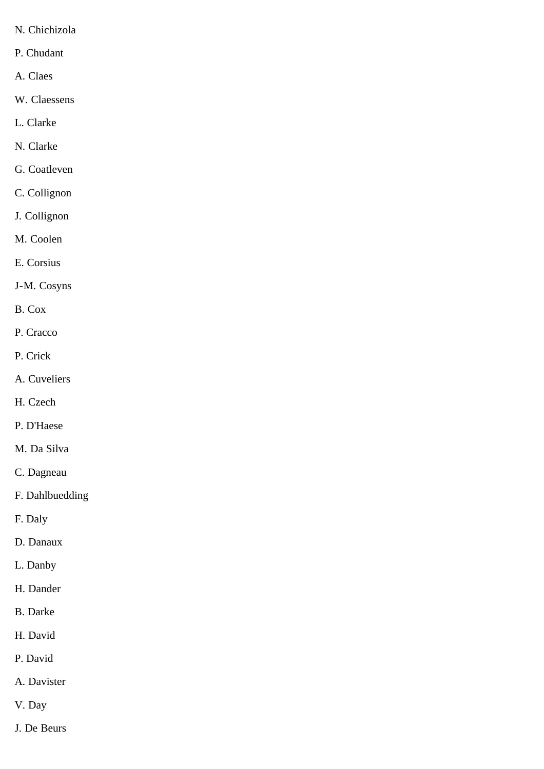- N. Chichizola
- P. Chudant
- A. Claes
- W. Claessens
- L. Clarke
- N. Clarke
- G. Coatleven
- C. Collignon
- J. Collignon
- M. Coolen
- E. Corsius
- J-M. Cosyns
- B. Cox
- P. Cracco
- P. Crick
- A. Cuveliers
- H. Czech
- P. D'Haese
- M. Da Silva
- C. Dagneau
- F. Dahlbuedding
- F. Daly
- D. Danaux
- L. Danby
- H. Dander
- B. Darke
- H. David
- P. David
- A. Davister
- V. Day
- J. De Beurs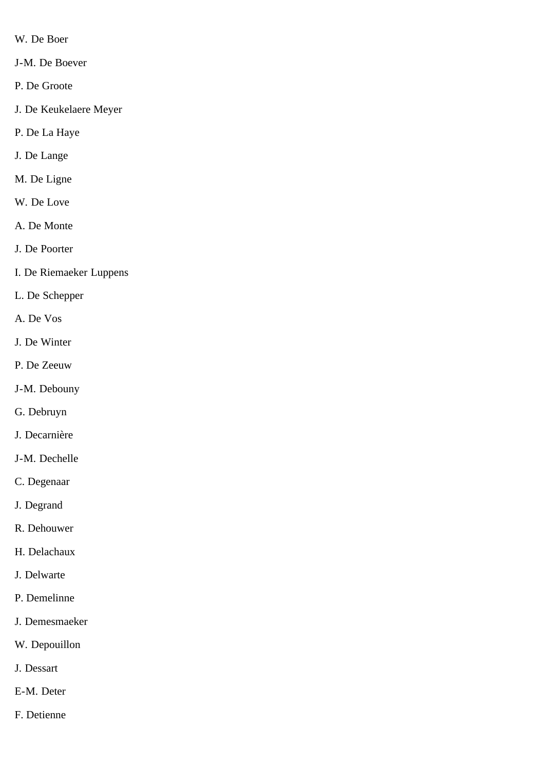- W. De Boer
- J-M. De Boever
- P. De Groote
- J. De Keukelaere Meyer
- P. De La Haye
- J. De Lange
- M. De Ligne
- W. De Love
- A. De Monte
- J. De Poorter
- I. De Riemaeker Luppens
- L. De Schepper
- A. De Vos
- J. De Winter
- P. De Zeeuw
- J-M. Debouny
- G. Debruyn
- J. Decarnière
- J-M. Dechelle
- C. Degenaar
- J. Degrand
- R. Dehouwer
- H. Delachaux
- J. Delwarte
- P. Demelinne
- J. Demesmaeker
- W. Depouillon
- J. Dessart
- E-M. Deter
- F. Detienne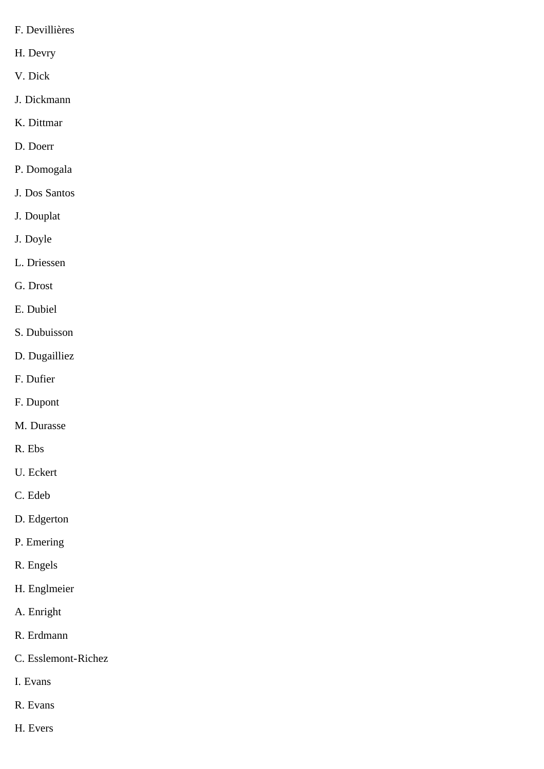- F. Devillières
- H. Devry
- V. Dick
- J. Dickmann
- K. Dittmar
- D. Doerr
- P. Domogala
- J. Dos Santos
- J. Douplat
- J. Doyle
- L. Driessen
- G. Drost
- E. Dubiel
- S. Dubuisson
- D. Dugailliez
- F. Dufier
- F. Dupont
- M. Durasse
- R. Ebs
- U. Eckert
- C. Edeb
- D. Edgerton
- P. Emering
- R. Engels
- H. Englmeier
- A. Enright
- R. Erdmann
- C. Esslemont-Richez
- I. Evans
- R. Evans
- H. Evers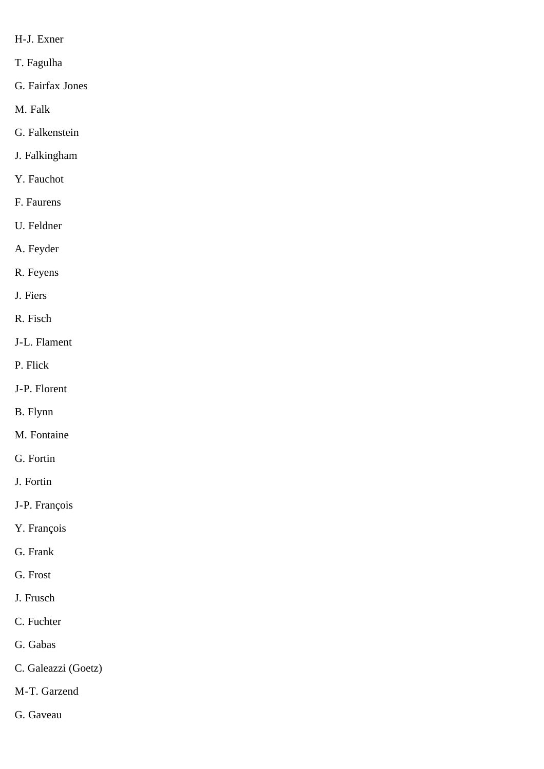- H-J. Exner
- T. Fagulha
- G. Fairfax Jones
- M. Falk
- G. Falkenstein
- J. Falkingham
- Y. Fauchot
- F. Faurens
- U. Feldner
- A. Feyder
- R. Feyens
- J. Fiers
- R. Fisch
- J-L. Flament
- P. Flick
- J-P. Florent
- B. Flynn
- M. Fontaine
- G. Fortin
- J. Fortin
- J-P. François
- Y. François
- G. Frank
- G. Frost
- J. Frusch
- C. Fuchter
- G. Gabas
- C. Galeazzi (Goetz)
- M-T. Garzend
- G. Gaveau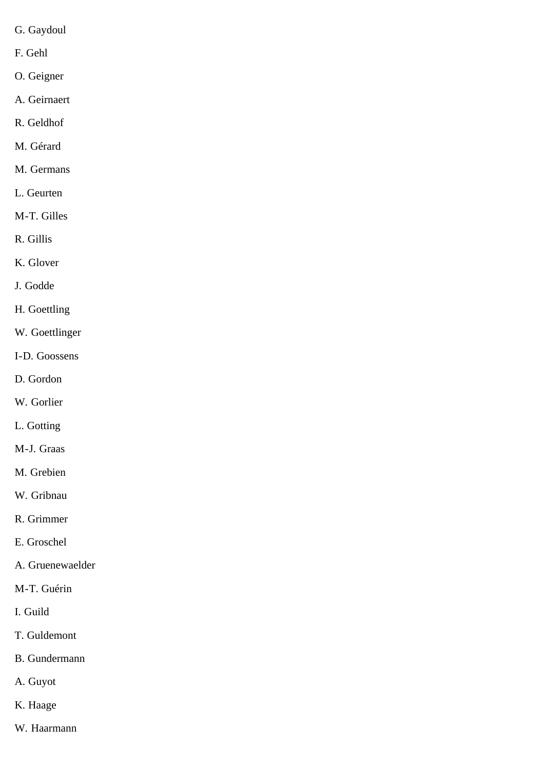- G. Gaydoul
- F. Gehl
- O. Geigner
- A. Geirnaert
- R. Geldhof
- M. Gérard
- M. Germans
- L. Geurten
- M-T. Gilles
- R. Gillis
- K. Glover
- J. Godde
- H. Goettling
- W. Goettlinger
- I-D. Goossens
- D. Gordon
- W. Gorlier
- L. Gotting
- M-J. Graas
- M. Grebien
- W. Gribnau
- R. Grimmer
- E. Groschel
- A. Gruenewaelder
- M-T. Guérin
- I. Guild
- T. Guldemont
- B. Gundermann
- A. Guyot
- K. Haage
- W. Haarmann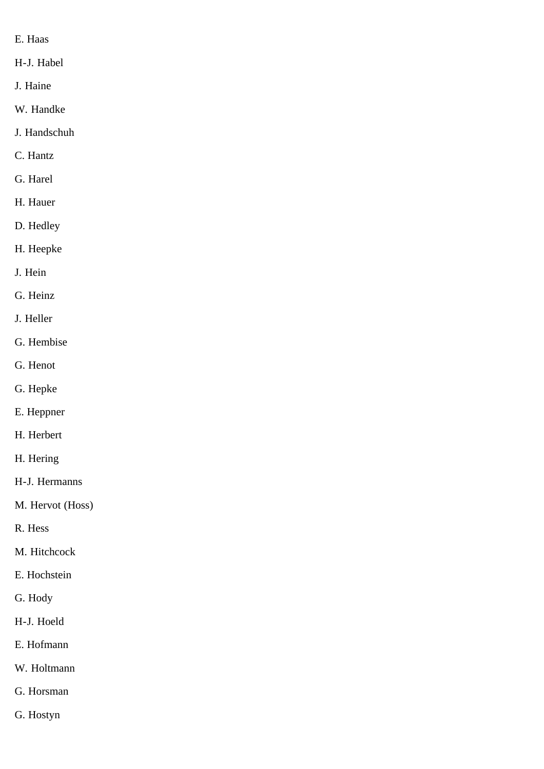- E. Haas
- H-J. Habel
- J. Haine
- W. Handke
- J. Handschuh
- C. Hantz
- G. Harel
- H. Hauer
- D. Hedley
- H. Heepke
- J. Hein
- G. Heinz
- J. Heller
- G. Hembise
- G. Henot
- G. Hepke
- E. Heppner
- H. Herbert
- H. Hering
- H-J. Hermanns
- M. Hervot (Hoss)
- R. Hess
- M. Hitchcock
- E. Hochstein
- G. Hody
- H-J. Hoeld
- E. Hofmann
- W. Holtmann
- G. Horsman
- G. Hostyn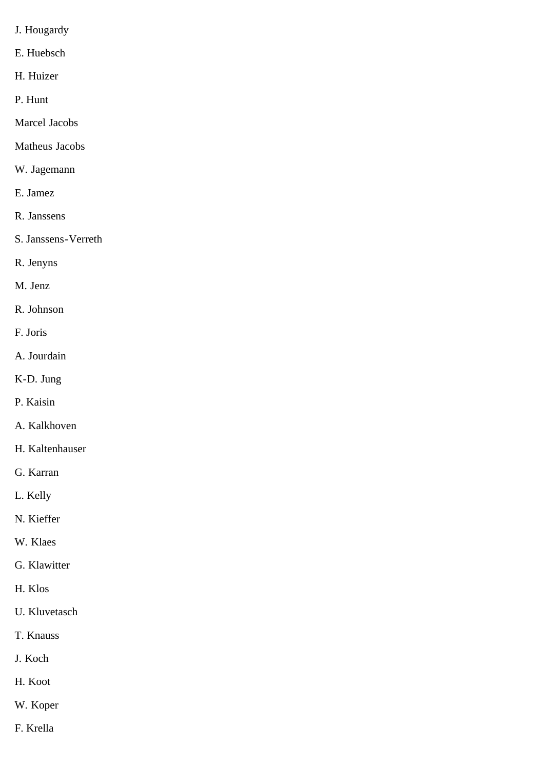- J. Hougardy
- E. Huebsch
- H. Huizer
- P. Hunt
- Marcel Jacobs
- Matheus Jacobs
- W. Jagemann
- E. Jamez
- R. Janssens
- S. Janssens-Verreth
- R. Jenyns
- M. Jenz
- R. Johnson
- F. Joris
- A. Jourdain
- K-D. Jung
- P. Kaisin
- A. Kalkhoven
- H. Kaltenhauser
- G. Karran
- L. Kelly
- N. Kieffer
- W. Klaes
- G. Klawitter
- H. Klos
- U. Kluvetasch
- T. Knauss
- J. Koch
- H. Koot
- W. Koper
- F. Krella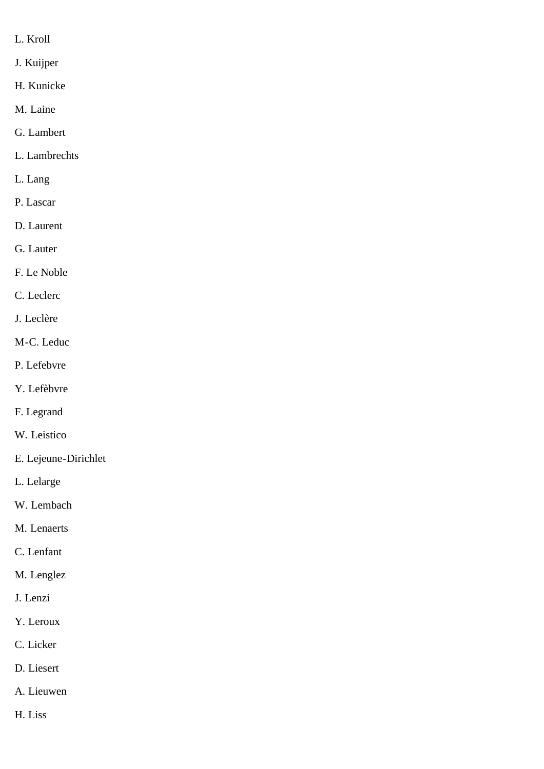- L. Kroll
- J. Kuijper
- H. Kunicke
- M. Laine
- G. Lambert
- L. Lambrechts
- L. Lang
- P. Lascar
- D. Laurent
- G. Lauter
- F. Le Noble
- C. Leclerc
- J. Leclère
- M-C. Leduc
- P. Lefebvre
- Y. Lefèbvre
- F. Legrand
- W. Leistico
- E. Lejeune-Dirichlet
- L. Lelarge
- W. Lembach
- M. Lenaerts
- C. Lenfant
- M. Lenglez
- J. Lenzi
- Y. Leroux
- C. Licker
- D. Liesert
- A. Lieuwen
- H. Liss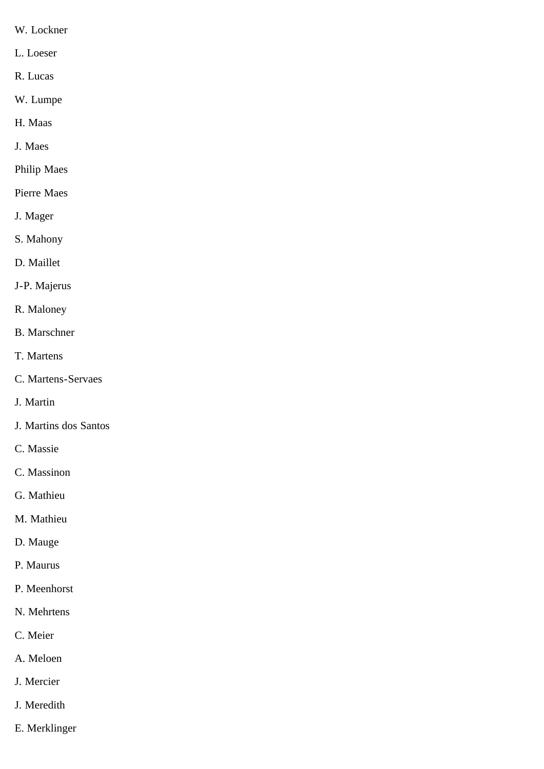- W. Lockner
- L. Loeser
- R. Lucas
- W. Lumpe
- H. Maas
- J. Maes
- Philip Maes
- Pierre Maes
- J. Mager
- S. Mahony
- D. Maillet
- J-P. Majerus
- R. Maloney
- B. Marschner
- T. Martens
- C. Martens-Servaes
- J. Martin
- J. Martins dos Santos
- C. Massie
- C. Massinon
- G. Mathieu
- M. Mathieu
- D. Mauge
- P. Maurus
- P. Meenhorst
- N. Mehrtens
- C. Meier
- A. Meloen
- J. Mercier
- J. Meredith
- E. Merklinger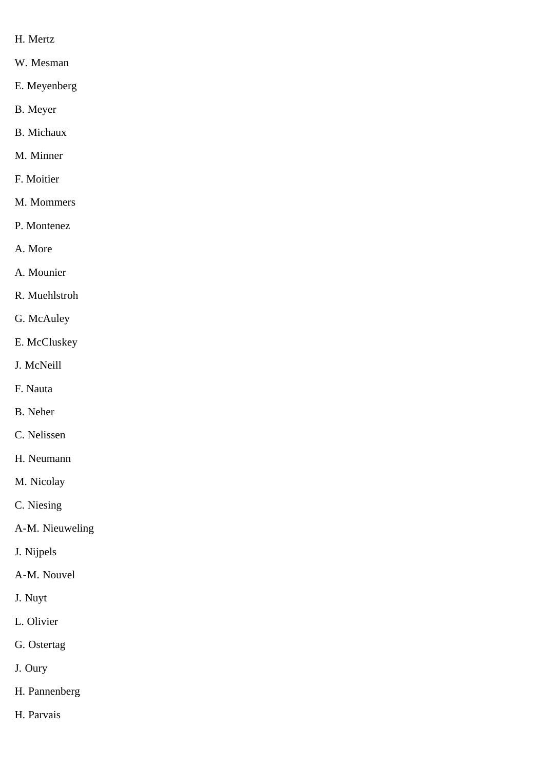- H. Mertz
- W. Mesman
- E. Meyenberg
- B. Meyer
- B. Michaux
- M. Minner
- F. Moitier
- M. Mommers
- P. Montenez
- A. More
- A. Mounier
- R. Muehlstroh
- G. McAuley
- E. McCluskey
- J. McNeill
- F. Nauta
- B. Neher
- C. Nelissen
- H. Neumann
- M. Nicolay
- C. Niesing
- A-M. Nieuweling
- J. Nijpels
- A-M. Nouvel
- J. Nuyt
- L. Olivier
- G. Ostertag
- J. Oury
- H. Pannenberg
- H. Parvais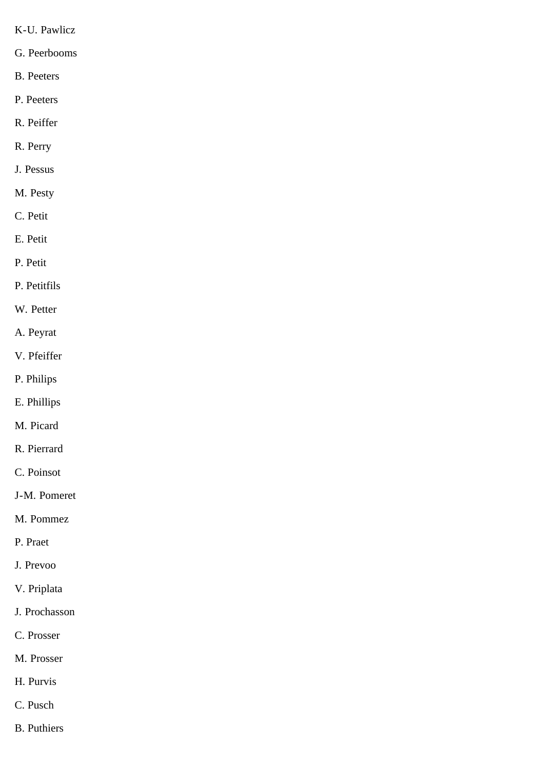- K-U. Pawlicz
- G. Peerbooms
- B. Peeters
- P. Peeters
- R. Peiffer
- R. Perry
- J. Pessus
- M. Pesty
- C. Petit
- E. Petit
- P. Petit
- P. Petitfils
- W. Petter
- A. Peyrat
- V. Pfeiffer
- P. Philips
- E. Phillips
- M. Picard
- R. Pierrard
- C. Poinsot
- J-M. Pomeret
- M. Pommez
- P. Praet
- J. Prevoo
- V. Priplata
- J. Prochasson
- C. Prosser
- M. Prosser
- H. Purvis
- C. Pusch
- B. Puthiers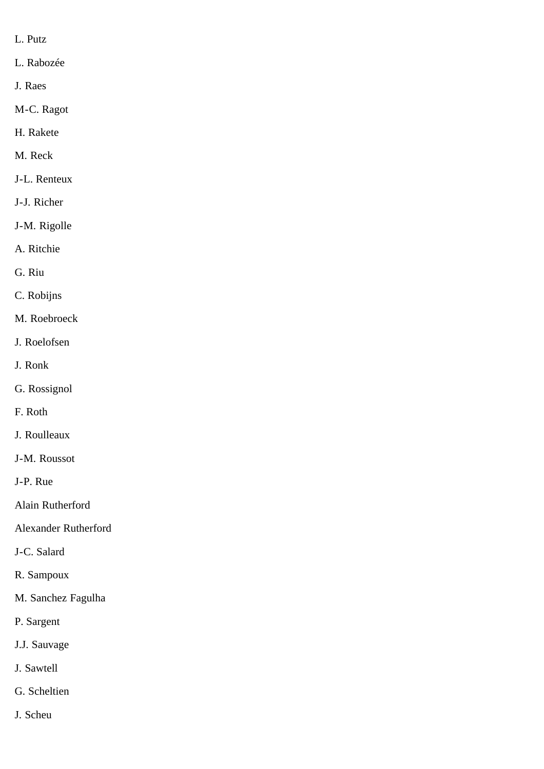- L. Putz
- L. Rabozée
- J. Raes
- M-C. Ragot
- H. Rakete
- M. Reck
- J-L. Renteux
- J-J. Richer
- J-M. Rigolle
- A. Ritchie
- G. Riu
- C. Robijns
- M. Roebroeck
- J. Roelofsen
- J. Ronk
- G. Rossignol
- F. Roth
- J. Roulleaux
- J-M. Roussot
- J-P. Rue
- Alain Rutherford
- Alexander Rutherford
- J-C. Salard
- R. Sampoux
- M. Sanchez Fagulha
- P. Sargent
- J.J. Sauvage
- J. Sawtell
- G. Scheltien
- J. Scheu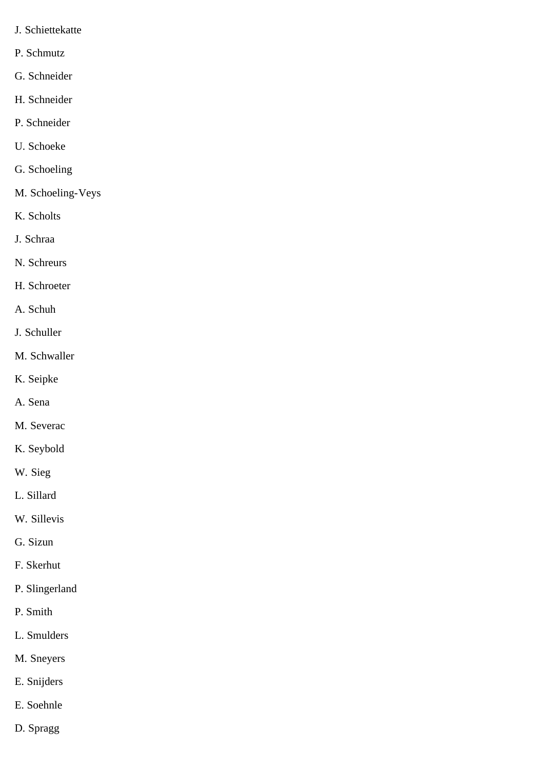- J. Schiettekatte
- P. Schmutz
- G. Schneider
- H. Schneider
- P. Schneider
- U. Schoeke
- G. Schoeling
- M. Schoeling-Veys
- K. Scholts
- J. Schraa
- N. Schreurs
- H. Schroeter
- A. Schuh
- J. Schuller
- M. Schwaller
- K. Seipke
- A. Sena
- M. Severac
- K. Seybold
- W. Sieg
- L. Sillard
- W. Sillevis
- G. Sizun
- F. Skerhut
- P. Slingerland
- P. Smith
- L. Smulders
- M. Sneyers
- E. Snijders
- E. Soehnle
- D. Spragg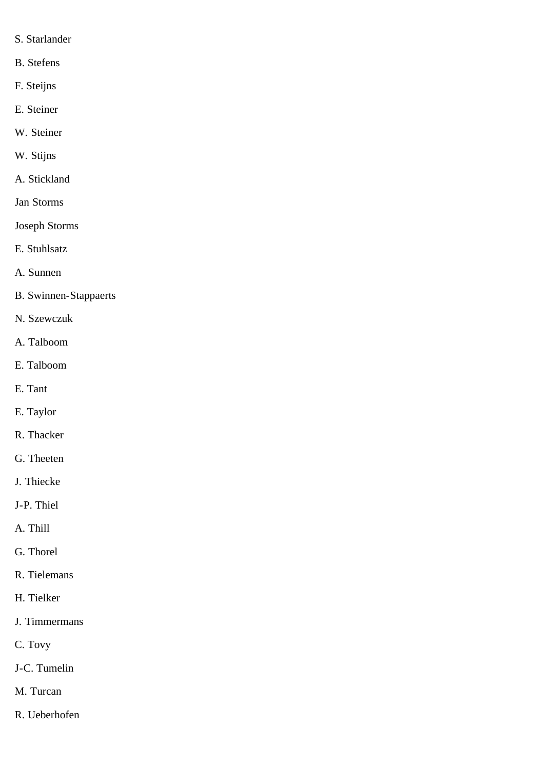- S. Starlander
- B. Stefens
- F. Steijns
- E. Steiner
- W. Steiner
- W. Stijns
- A. Stickland
- Jan Storms
- Joseph Storms
- E. Stuhlsatz
- A. Sunnen
- B. Swinnen-Stappaerts
- N. Szewczuk
- A. Talboom
- E. Talboom
- E. Tant
- E. Taylor
- R. Thacker
- G. Theeten
- J. Thiecke
- J-P. Thiel
- A. Thill
- G. Thorel
- R. Tielemans
- H. Tielker
- J. Timmermans
- C. Tovy
- J-C. Tumelin
- M. Turcan
- R. Ueberhofen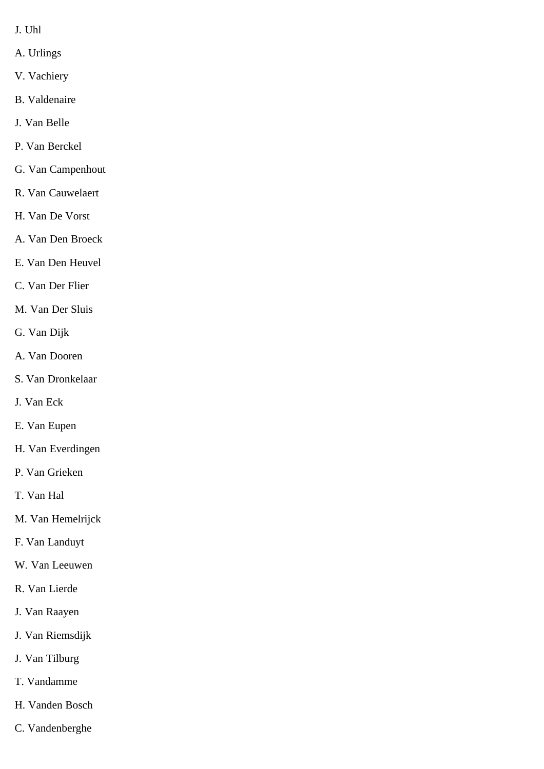- J. Uhl
- A. Urlings
- V. Vachiery
- B. Valdenaire
- J. Van Belle
- P. Van Berckel
- G. Van Campenhout
- R. Van Cauwelaert
- H. Van De Vorst
- A. Van Den Broeck
- E. Van Den Heuvel
- C. Van Der Flier
- M. Van Der Sluis
- G. Van Dijk
- A. Van Dooren
- S. Van Dronkelaar
- J. Van Eck
- E. Van Eupen
- H. Van Everdingen
- P. Van Grieken
- T. Van Hal
- M. Van Hemelrijck
- F. Van Landuyt
- W. Van Leeuwen
- R. Van Lierde
- J. Van Raayen
- J. Van Riemsdijk
- J. Van Tilburg
- T. Vandamme
- H. Vanden Bosch
- C. Vandenberghe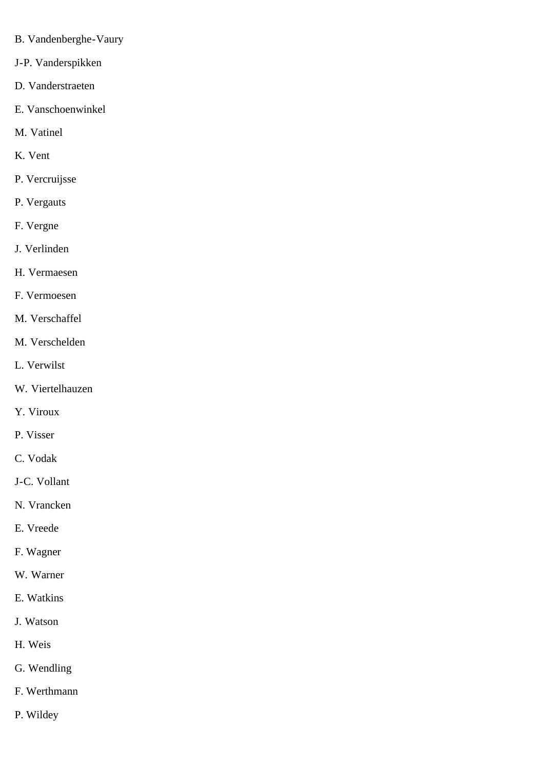- B. Vandenberghe-Vaury
- J-P. Vanderspikken
- D. Vanderstraeten
- E. Vanschoenwinkel
- M. Vatinel
- K. Vent
- P. Vercruijsse
- P. Vergauts
- F. Vergne
- J. Verlinden
- H. Vermaesen
- F. Vermoesen
- M. Verschaffel
- M. Verschelden
- L. Verwilst
- W. Viertelhauzen
- Y. Viroux
- P. Visser
- C. Vodak
- J-C. Vollant
- N. Vrancken
- E. Vreede
- F. Wagner
- W. Warner
- E. Watkins
- J. Watson
- H. Weis
- G. Wendling
- F. Werthmann
- P. Wildey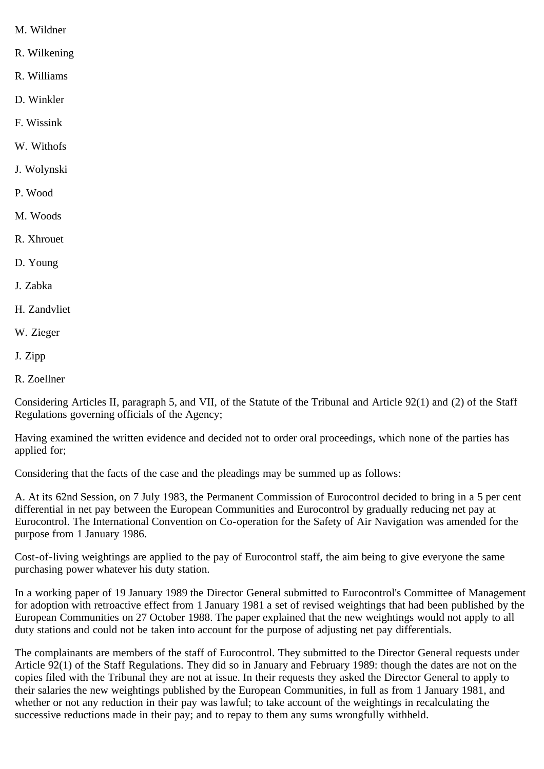- M. Wildner
- R. Wilkening
- R. Williams
- D. Winkler
- F. Wissink
- W. Withofs
- J. Wolynski
- P. Wood
- M. Woods
- R. Xhrouet
- D. Young
- J. Zabka
- H. Zandvliet
- W. Zieger
- J. Zipp
- R. Zoellner

Considering Articles II, paragraph 5, and VII, of the Statute of the Tribunal and Article 92(1) and (2) of the Staff Regulations governing officials of the Agency;

Having examined the written evidence and decided not to order oral proceedings, which none of the parties has applied for;

Considering that the facts of the case and the pleadings may be summed up as follows:

A. At its 62nd Session, on 7 July 1983, the Permanent Commission of Eurocontrol decided to bring in a 5 per cent differential in net pay between the European Communities and Eurocontrol by gradually reducing net pay at Eurocontrol. The International Convention on Co-operation for the Safety of Air Navigation was amended for the purpose from 1 January 1986.

Cost-of-living weightings are applied to the pay of Eurocontrol staff, the aim being to give everyone the same purchasing power whatever his duty station.

In a working paper of 19 January 1989 the Director General submitted to Eurocontrol's Committee of Management for adoption with retroactive effect from 1 January 1981 a set of revised weightings that had been published by the European Communities on 27 October 1988. The paper explained that the new weightings would not apply to all duty stations and could not be taken into account for the purpose of adjusting net pay differentials.

The complainants are members of the staff of Eurocontrol. They submitted to the Director General requests under Article 92(1) of the Staff Regulations. They did so in January and February 1989: though the dates are not on the copies filed with the Tribunal they are not at issue. In their requests they asked the Director General to apply to their salaries the new weightings published by the European Communities, in full as from 1 January 1981, and whether or not any reduction in their pay was lawful; to take account of the weightings in recalculating the successive reductions made in their pay; and to repay to them any sums wrongfully withheld.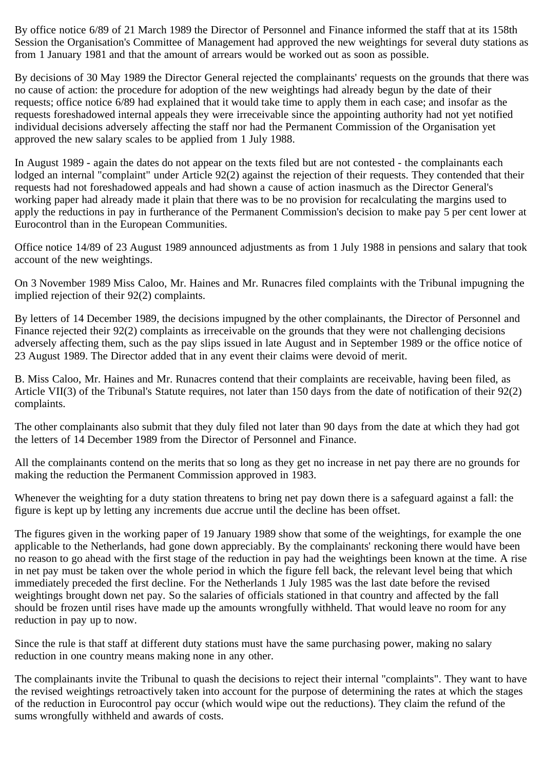By office notice 6/89 of 21 March 1989 the Director of Personnel and Finance informed the staff that at its 158th Session the Organisation's Committee of Management had approved the new weightings for several duty stations as from 1 January 1981 and that the amount of arrears would be worked out as soon as possible.

By decisions of 30 May 1989 the Director General rejected the complainants' requests on the grounds that there was no cause of action: the procedure for adoption of the new weightings had already begun by the date of their requests; office notice 6/89 had explained that it would take time to apply them in each case; and insofar as the requests foreshadowed internal appeals they were irreceivable since the appointing authority had not yet notified individual decisions adversely affecting the staff nor had the Permanent Commission of the Organisation yet approved the new salary scales to be applied from 1 July 1988.

In August 1989 - again the dates do not appear on the texts filed but are not contested - the complainants each lodged an internal "complaint" under Article 92(2) against the rejection of their requests. They contended that their requests had not foreshadowed appeals and had shown a cause of action inasmuch as the Director General's working paper had already made it plain that there was to be no provision for recalculating the margins used to apply the reductions in pay in furtherance of the Permanent Commission's decision to make pay 5 per cent lower at Eurocontrol than in the European Communities.

Office notice 14/89 of 23 August 1989 announced adjustments as from 1 July 1988 in pensions and salary that took account of the new weightings.

On 3 November 1989 Miss Caloo, Mr. Haines and Mr. Runacres filed complaints with the Tribunal impugning the implied rejection of their 92(2) complaints.

By letters of 14 December 1989, the decisions impugned by the other complainants, the Director of Personnel and Finance rejected their 92(2) complaints as irreceivable on the grounds that they were not challenging decisions adversely affecting them, such as the pay slips issued in late August and in September 1989 or the office notice of 23 August 1989. The Director added that in any event their claims were devoid of merit.

B. Miss Caloo, Mr. Haines and Mr. Runacres contend that their complaints are receivable, having been filed, as Article VII(3) of the Tribunal's Statute requires, not later than 150 days from the date of notification of their 92(2) complaints.

The other complainants also submit that they duly filed not later than 90 days from the date at which they had got the letters of 14 December 1989 from the Director of Personnel and Finance.

All the complainants contend on the merits that so long as they get no increase in net pay there are no grounds for making the reduction the Permanent Commission approved in 1983.

Whenever the weighting for a duty station threatens to bring net pay down there is a safeguard against a fall: the figure is kept up by letting any increments due accrue until the decline has been offset.

The figures given in the working paper of 19 January 1989 show that some of the weightings, for example the one applicable to the Netherlands, had gone down appreciably. By the complainants' reckoning there would have been no reason to go ahead with the first stage of the reduction in pay had the weightings been known at the time. A rise in net pay must be taken over the whole period in which the figure fell back, the relevant level being that which immediately preceded the first decline. For the Netherlands 1 July 1985 was the last date before the revised weightings brought down net pay. So the salaries of officials stationed in that country and affected by the fall should be frozen until rises have made up the amounts wrongfully withheld. That would leave no room for any reduction in pay up to now.

Since the rule is that staff at different duty stations must have the same purchasing power, making no salary reduction in one country means making none in any other.

The complainants invite the Tribunal to quash the decisions to reject their internal "complaints". They want to have the revised weightings retroactively taken into account for the purpose of determining the rates at which the stages of the reduction in Eurocontrol pay occur (which would wipe out the reductions). They claim the refund of the sums wrongfully withheld and awards of costs.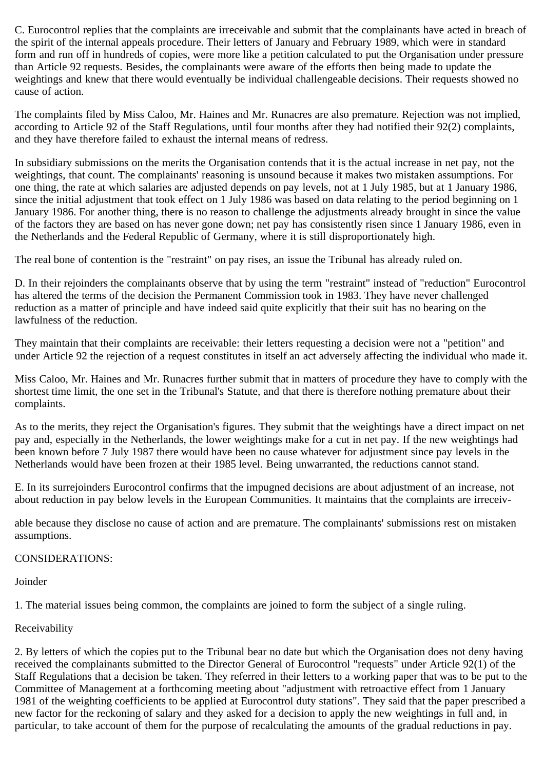C. Eurocontrol replies that the complaints are irreceivable and submit that the complainants have acted in breach of the spirit of the internal appeals procedure. Their letters of January and February 1989, which were in standard form and run off in hundreds of copies, were more like a petition calculated to put the Organisation under pressure than Article 92 requests. Besides, the complainants were aware of the efforts then being made to update the weightings and knew that there would eventually be individual challengeable decisions. Their requests showed no cause of action.

The complaints filed by Miss Caloo, Mr. Haines and Mr. Runacres are also premature. Rejection was not implied, according to Article 92 of the Staff Regulations, until four months after they had notified their 92(2) complaints, and they have therefore failed to exhaust the internal means of redress.

In subsidiary submissions on the merits the Organisation contends that it is the actual increase in net pay, not the weightings, that count. The complainants' reasoning is unsound because it makes two mistaken assumptions. For one thing, the rate at which salaries are adjusted depends on pay levels, not at 1 July 1985, but at 1 January 1986, since the initial adjustment that took effect on 1 July 1986 was based on data relating to the period beginning on 1 January 1986. For another thing, there is no reason to challenge the adjustments already brought in since the value of the factors they are based on has never gone down; net pay has consistently risen since 1 January 1986, even in the Netherlands and the Federal Republic of Germany, where it is still disproportionately high.

The real bone of contention is the "restraint" on pay rises, an issue the Tribunal has already ruled on.

D. In their rejoinders the complainants observe that by using the term "restraint" instead of "reduction" Eurocontrol has altered the terms of the decision the Permanent Commission took in 1983. They have never challenged reduction as a matter of principle and have indeed said quite explicitly that their suit has no bearing on the lawfulness of the reduction.

They maintain that their complaints are receivable: their letters requesting a decision were not a "petition" and under Article 92 the rejection of a request constitutes in itself an act adversely affecting the individual who made it.

Miss Caloo, Mr. Haines and Mr. Runacres further submit that in matters of procedure they have to comply with the shortest time limit, the one set in the Tribunal's Statute, and that there is therefore nothing premature about their complaints.

As to the merits, they reject the Organisation's figures. They submit that the weightings have a direct impact on net pay and, especially in the Netherlands, the lower weightings make for a cut in net pay. If the new weightings had been known before 7 July 1987 there would have been no cause whatever for adjustment since pay levels in the Netherlands would have been frozen at their 1985 level. Being unwarranted, the reductions cannot stand.

E. In its surrejoinders Eurocontrol confirms that the impugned decisions are about adjustment of an increase, not about reduction in pay below levels in the European Communities. It maintains that the complaints are irreceiv-

able because they disclose no cause of action and are premature. The complainants' submissions rest on mistaken assumptions.

## CONSIDERATIONS:

**Joinder** 

1. The material issues being common, the complaints are joined to form the subject of a single ruling.

## Receivability

2. By letters of which the copies put to the Tribunal bear no date but which the Organisation does not deny having received the complainants submitted to the Director General of Eurocontrol "requests" under Article 92(1) of the Staff Regulations that a decision be taken. They referred in their letters to a working paper that was to be put to the Committee of Management at a forthcoming meeting about "adjustment with retroactive effect from 1 January 1981 of the weighting coefficients to be applied at Eurocontrol duty stations". They said that the paper prescribed a new factor for the reckoning of salary and they asked for a decision to apply the new weightings in full and, in particular, to take account of them for the purpose of recalculating the amounts of the gradual reductions in pay.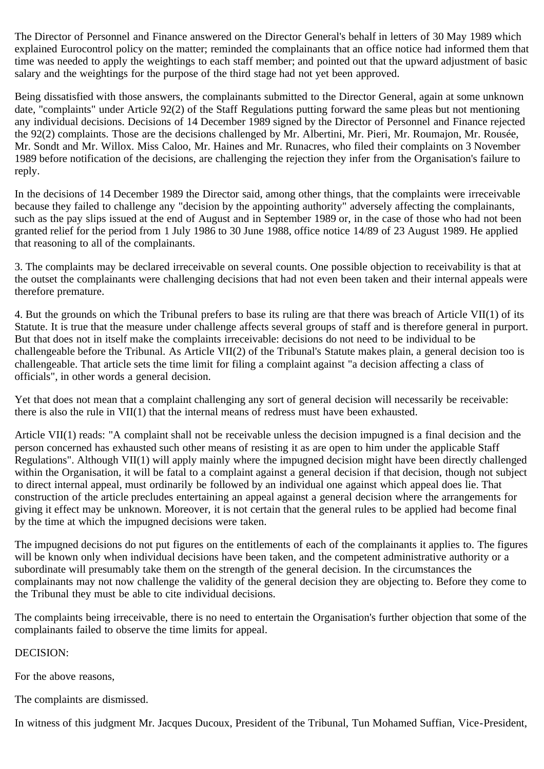The Director of Personnel and Finance answered on the Director General's behalf in letters of 30 May 1989 which explained Eurocontrol policy on the matter; reminded the complainants that an office notice had informed them that time was needed to apply the weightings to each staff member; and pointed out that the upward adjustment of basic salary and the weightings for the purpose of the third stage had not yet been approved.

Being dissatisfied with those answers, the complainants submitted to the Director General, again at some unknown date, "complaints" under Article 92(2) of the Staff Regulations putting forward the same pleas but not mentioning any individual decisions. Decisions of 14 December 1989 signed by the Director of Personnel and Finance rejected the 92(2) complaints. Those are the decisions challenged by Mr. Albertini, Mr. Pieri, Mr. Roumajon, Mr. Rousée, Mr. Sondt and Mr. Willox. Miss Caloo, Mr. Haines and Mr. Runacres, who filed their complaints on 3 November 1989 before notification of the decisions, are challenging the rejection they infer from the Organisation's failure to reply.

In the decisions of 14 December 1989 the Director said, among other things, that the complaints were irreceivable because they failed to challenge any "decision by the appointing authority" adversely affecting the complainants, such as the pay slips issued at the end of August and in September 1989 or, in the case of those who had not been granted relief for the period from 1 July 1986 to 30 June 1988, office notice 14/89 of 23 August 1989. He applied that reasoning to all of the complainants.

3. The complaints may be declared irreceivable on several counts. One possible objection to receivability is that at the outset the complainants were challenging decisions that had not even been taken and their internal appeals were therefore premature.

4. But the grounds on which the Tribunal prefers to base its ruling are that there was breach of Article VII(1) of its Statute. It is true that the measure under challenge affects several groups of staff and is therefore general in purport. But that does not in itself make the complaints irreceivable: decisions do not need to be individual to be challengeable before the Tribunal. As Article VII(2) of the Tribunal's Statute makes plain, a general decision too is challengeable. That article sets the time limit for filing a complaint against "a decision affecting a class of officials", in other words a general decision.

Yet that does not mean that a complaint challenging any sort of general decision will necessarily be receivable: there is also the rule in VII(1) that the internal means of redress must have been exhausted.

Article VII(1) reads: "A complaint shall not be receivable unless the decision impugned is a final decision and the person concerned has exhausted such other means of resisting it as are open to him under the applicable Staff Regulations". Although VII(1) will apply mainly where the impugned decision might have been directly challenged within the Organisation, it will be fatal to a complaint against a general decision if that decision, though not subject to direct internal appeal, must ordinarily be followed by an individual one against which appeal does lie. That construction of the article precludes entertaining an appeal against a general decision where the arrangements for giving it effect may be unknown. Moreover, it is not certain that the general rules to be applied had become final by the time at which the impugned decisions were taken.

The impugned decisions do not put figures on the entitlements of each of the complainants it applies to. The figures will be known only when individual decisions have been taken, and the competent administrative authority or a subordinate will presumably take them on the strength of the general decision. In the circumstances the complainants may not now challenge the validity of the general decision they are objecting to. Before they come to the Tribunal they must be able to cite individual decisions.

The complaints being irreceivable, there is no need to entertain the Organisation's further objection that some of the complainants failed to observe the time limits for appeal.

DECISION:

For the above reasons,

The complaints are dismissed.

In witness of this judgment Mr. Jacques Ducoux, President of the Tribunal, Tun Mohamed Suffian, Vice-President,